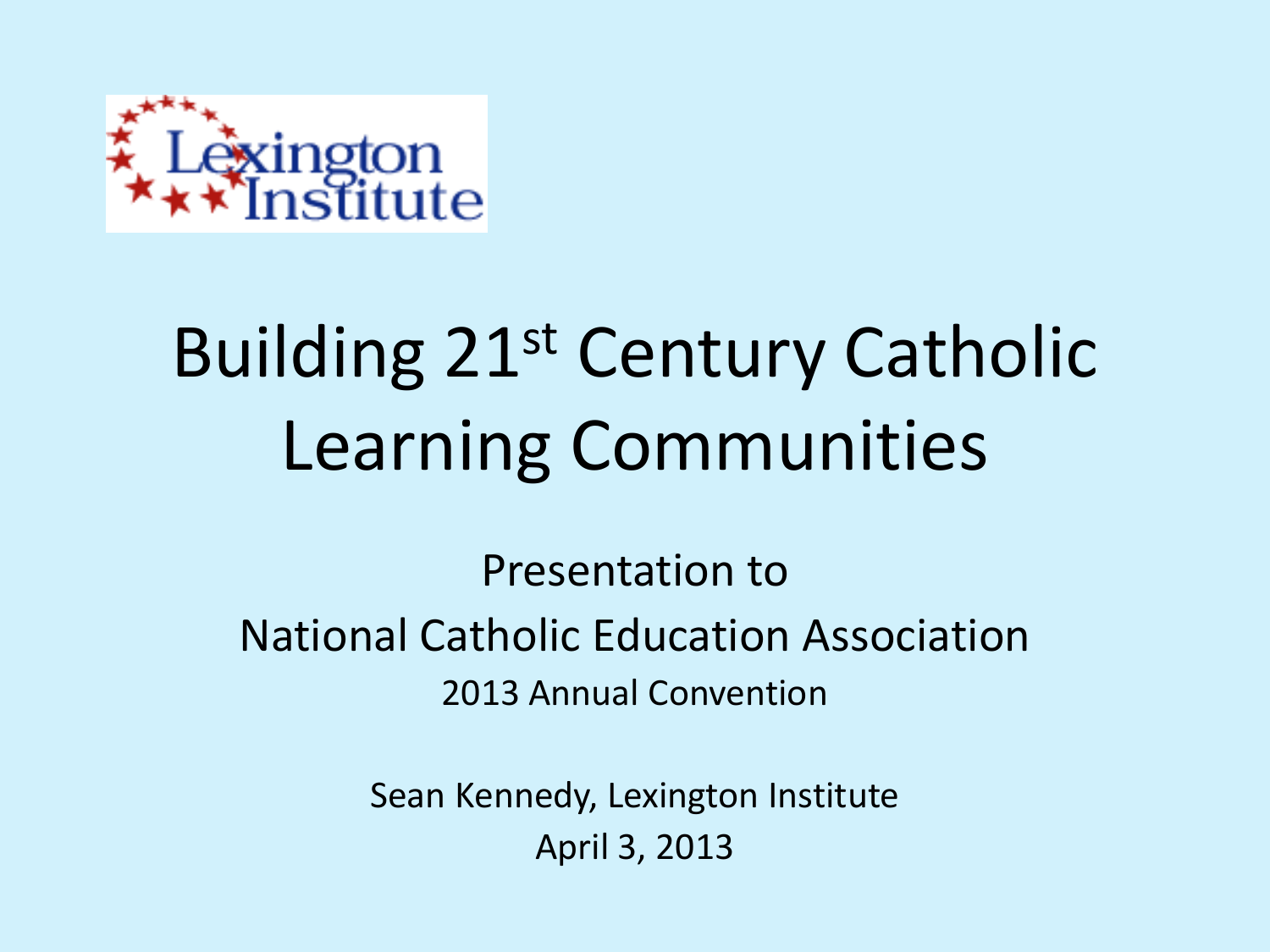

# Building 21st Century Catholic Learning Communities

Presentation to National Catholic Education Association 2013 Annual Convention

> Sean Kennedy, Lexington Institute April 3, 2013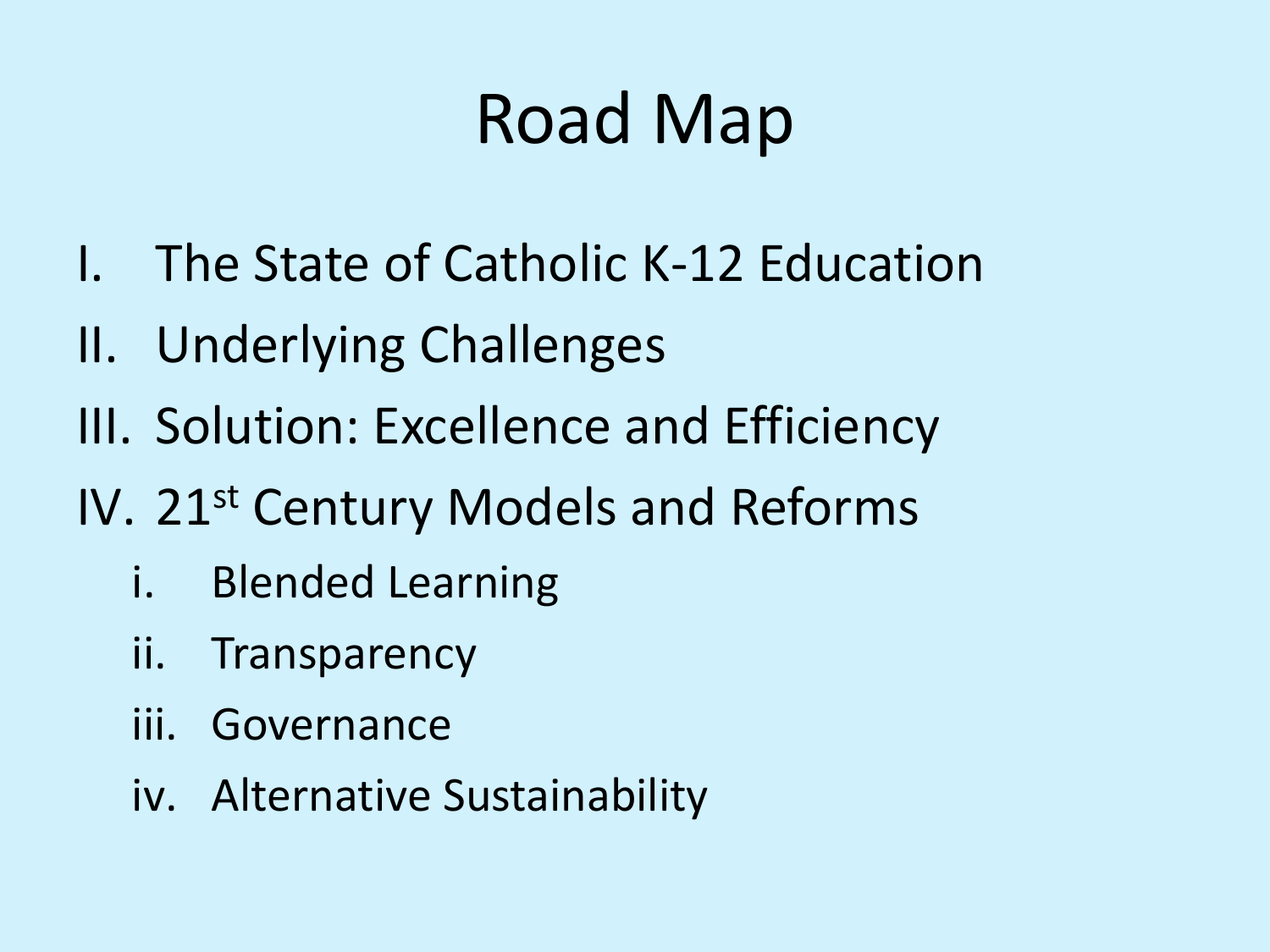## Road Map

- I. The State of Catholic K-12 Education
- II. Underlying Challenges
- III. Solution: Excellence and Efficiency
- IV. 21st Century Models and Reforms
	- i. Blended Learning
	- ii. Transparency
	- iii. Governance
	- iv. Alternative Sustainability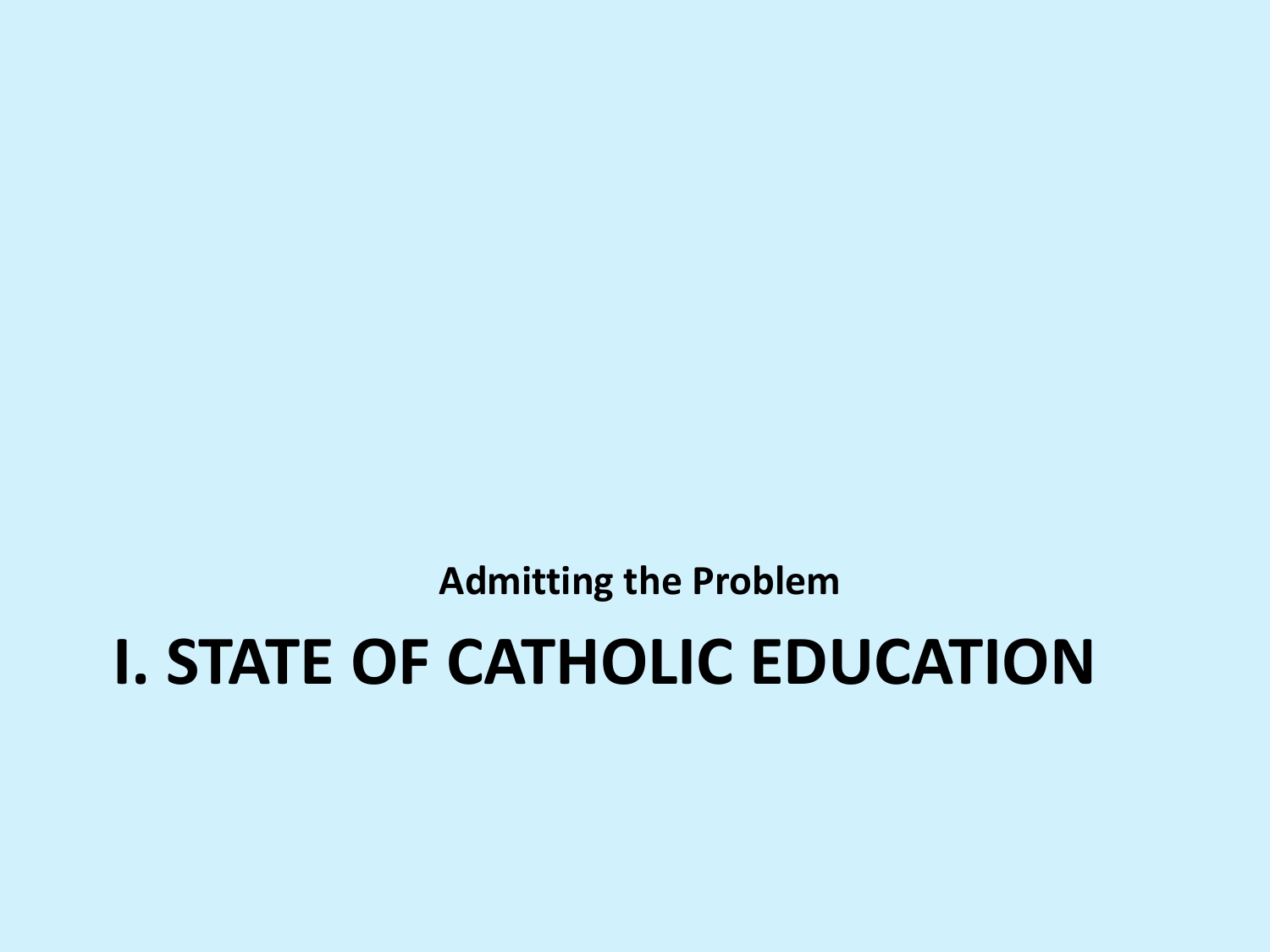**Admitting the Problem**

### **I. STATE OF CATHOLIC EDUCATION**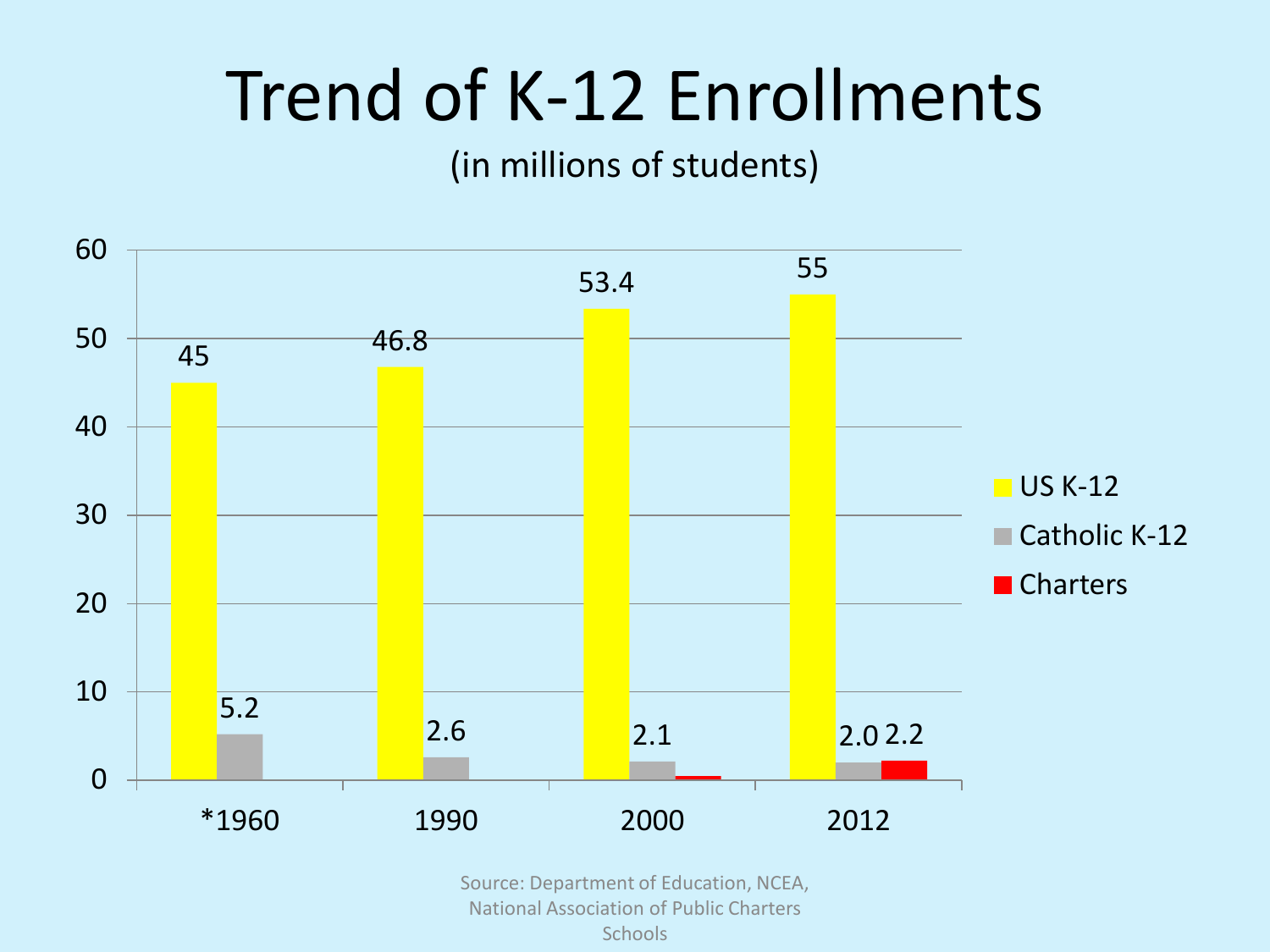### Trend of K-12 Enrollments

#### (in millions of students)



Source: Department of Education, NCEA, National Association of Public Charters **Schools**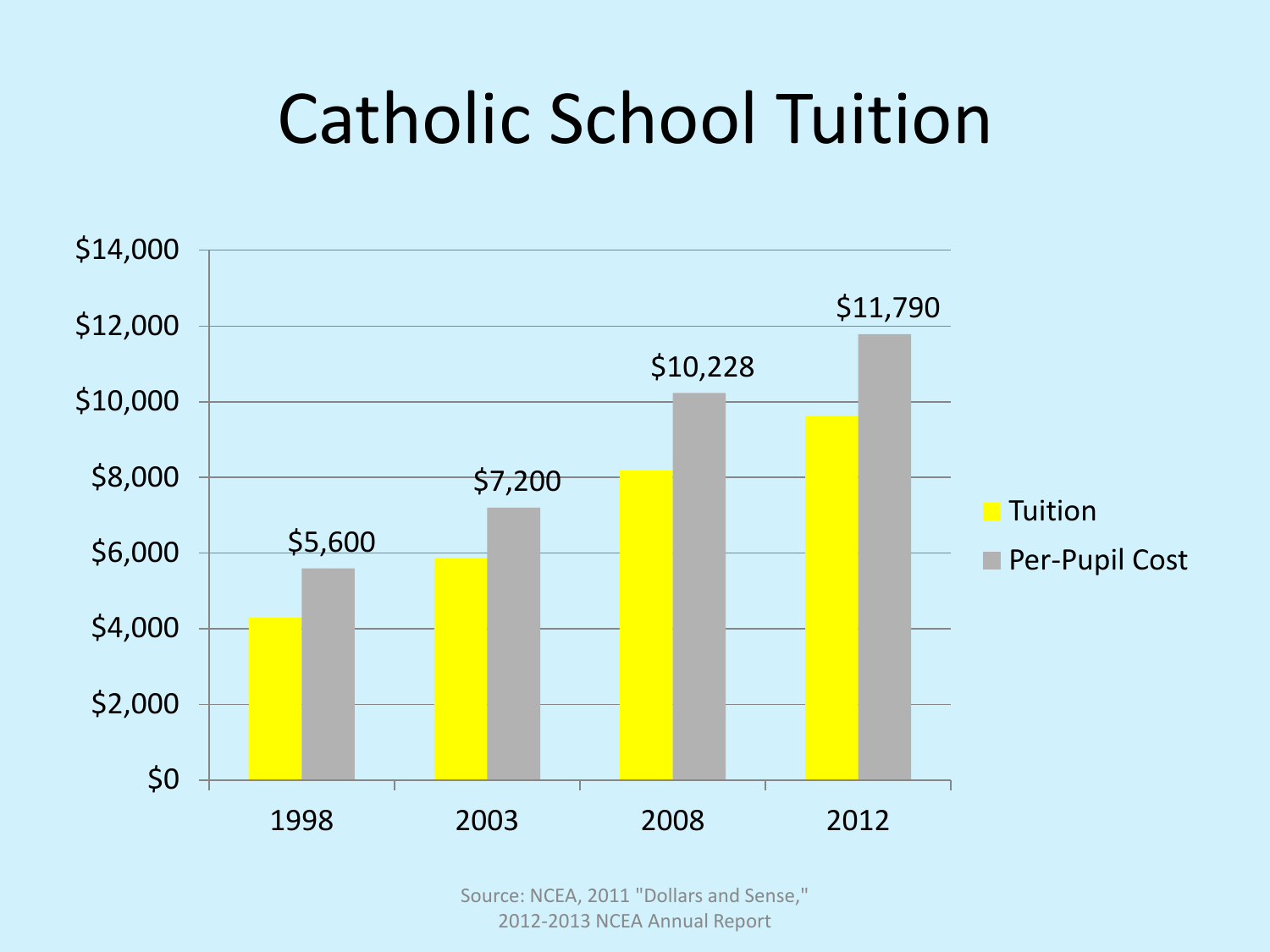## Catholic School Tuition



Source: NCEA, 2011 "Dollars and Sense," 2012-2013 NCEA Annual Report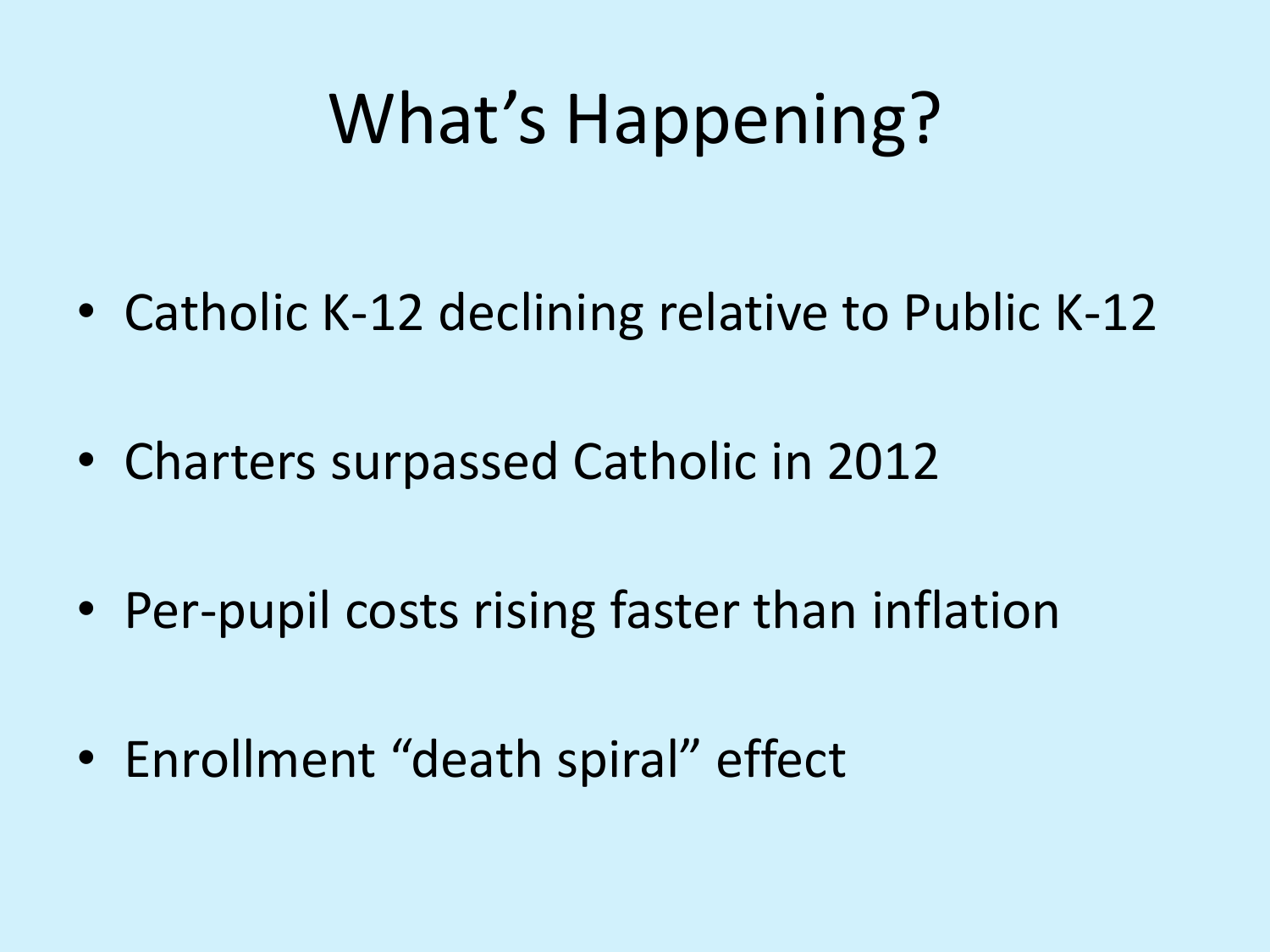## What's Happening?

- Catholic K-12 declining relative to Public K-12
- Charters surpassed Catholic in 2012
- Per-pupil costs rising faster than inflation
- Enrollment "death spiral" effect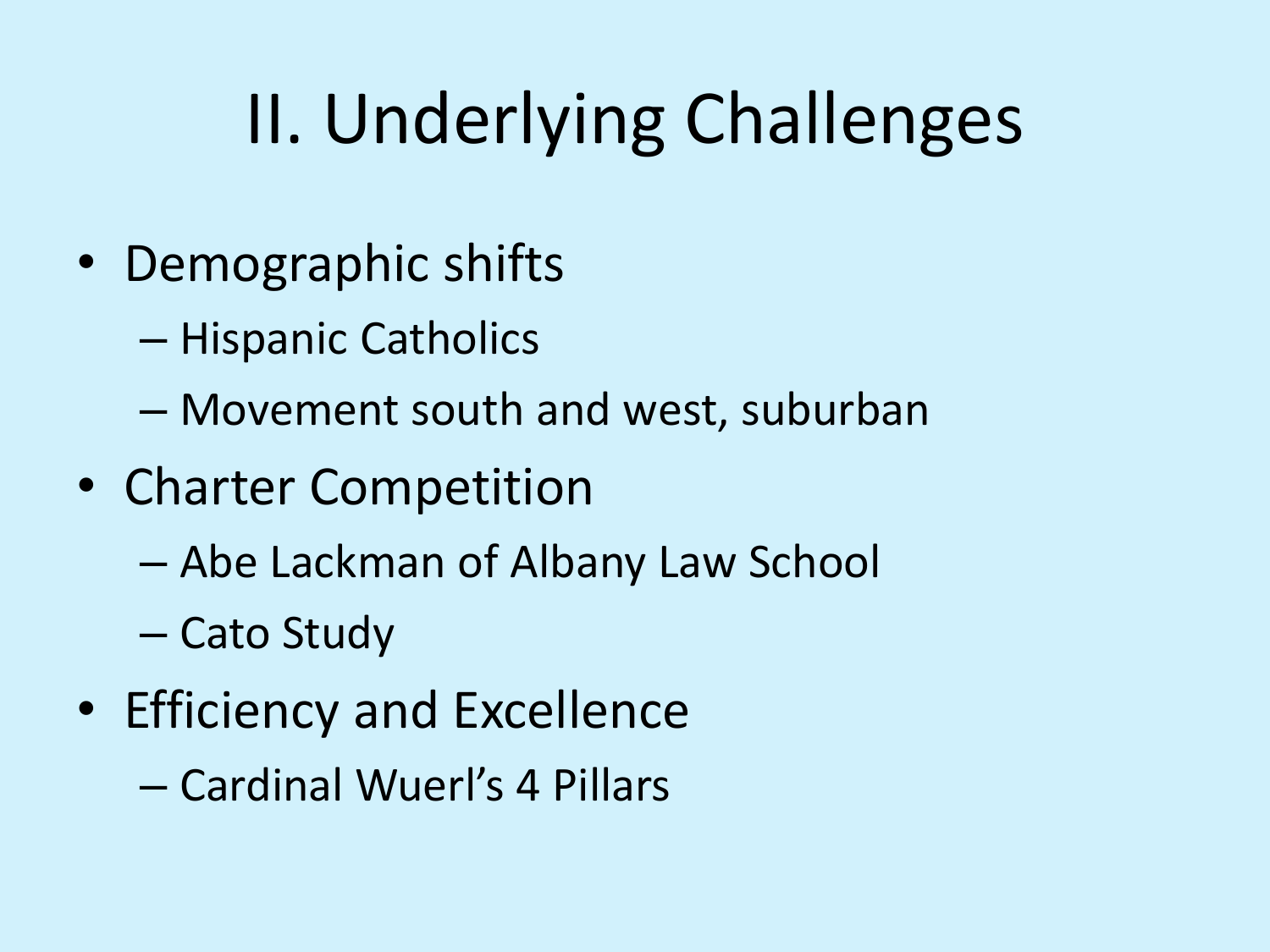# II. Underlying Challenges

- Demographic shifts
	- Hispanic Catholics
	- Movement south and west, suburban
- Charter Competition
	- Abe Lackman of Albany Law School
	- Cato Study
- Efficiency and Excellence
	- Cardinal Wuerl's 4 Pillars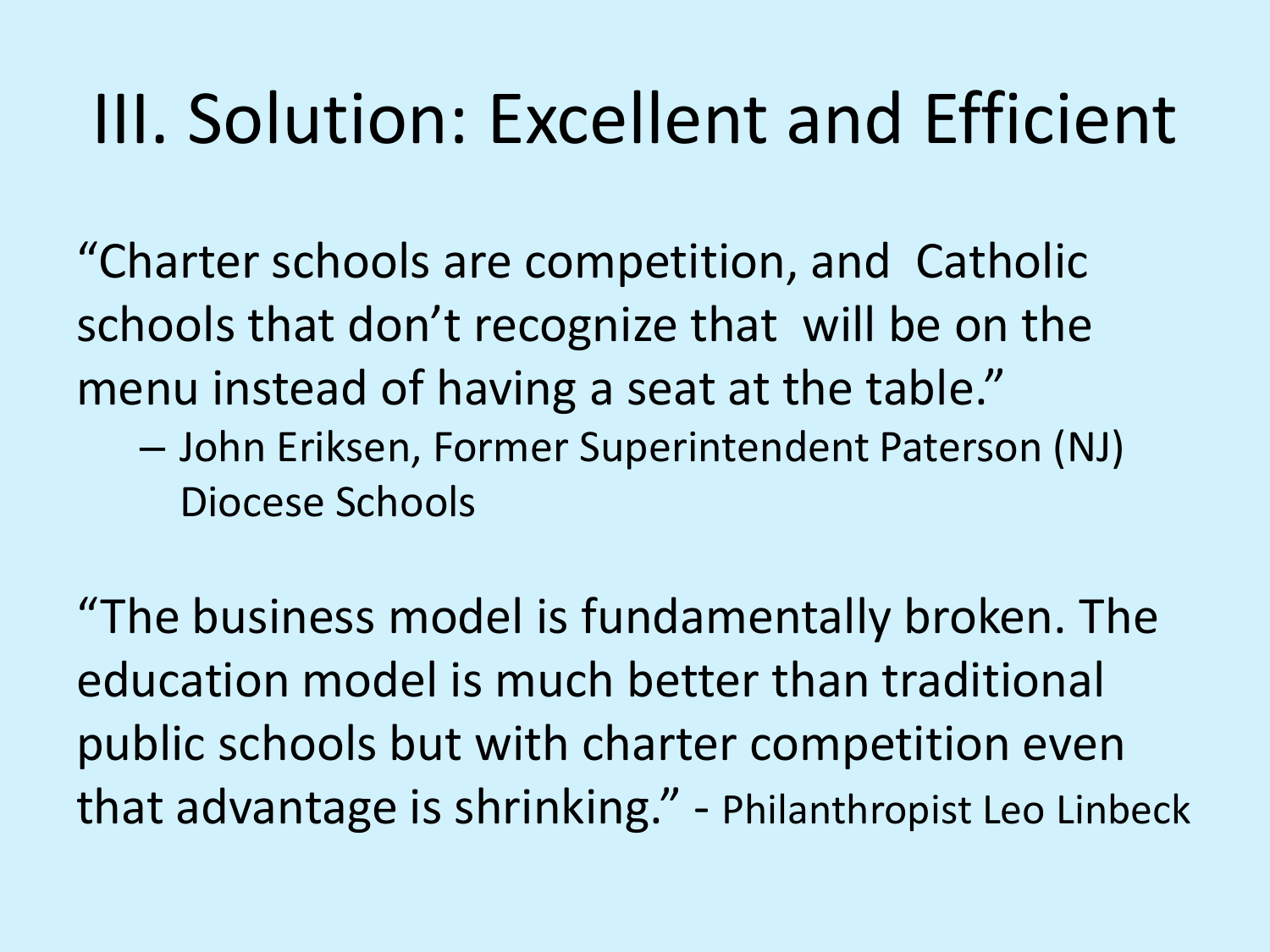## III. Solution: Excellent and Efficient

"Charter schools are competition, and Catholic schools that don't recognize that will be on the menu instead of having a seat at the table."

– John Eriksen, Former Superintendent Paterson (NJ) Diocese Schools

"The business model is fundamentally broken. The education model is much better than traditional public schools but with charter competition even that advantage is shrinking." - Philanthropist Leo Linbeck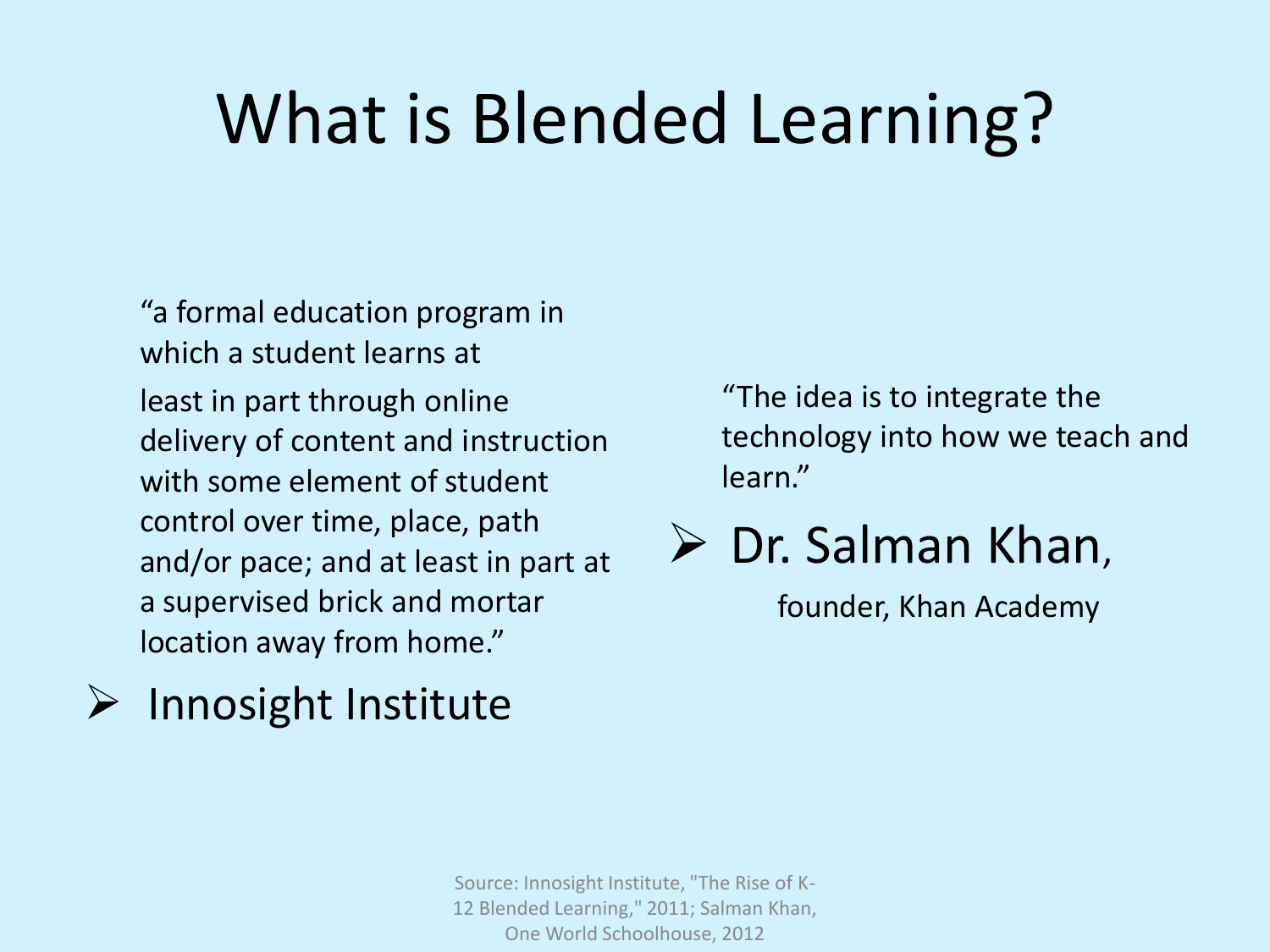## What is Blended Learning?

"a formal education program in which a student learns at least in part through online delivery of content and instruction with some element of student control over time, place, path and/or pace; and at least in part at a supervised brick and mortar location away from home."

### $\triangleright$  Innosight Institute

"The idea is to integrate the technology into how we teach and learn."

### $\triangleright$  Dr. Salman Khan,

founder, Khan Academy

Source: Innosight Institute, "The Rise of K-12 Blended Learning," 2011; Salman Khan, One World Schoolhouse, 2012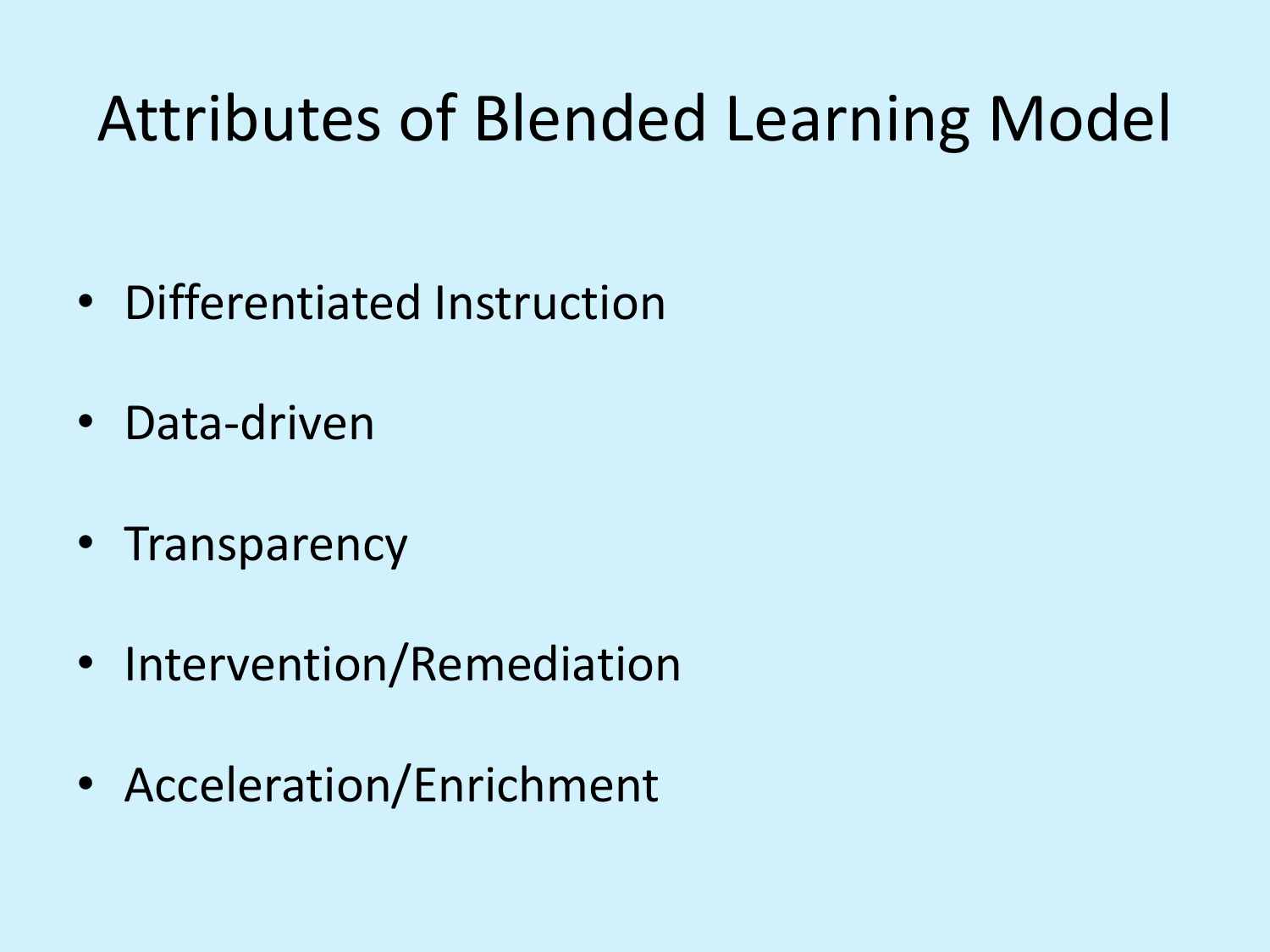### Attributes of Blended Learning Model

- Differentiated Instruction
- Data-driven
- Transparency
- Intervention/Remediation
- Acceleration/Enrichment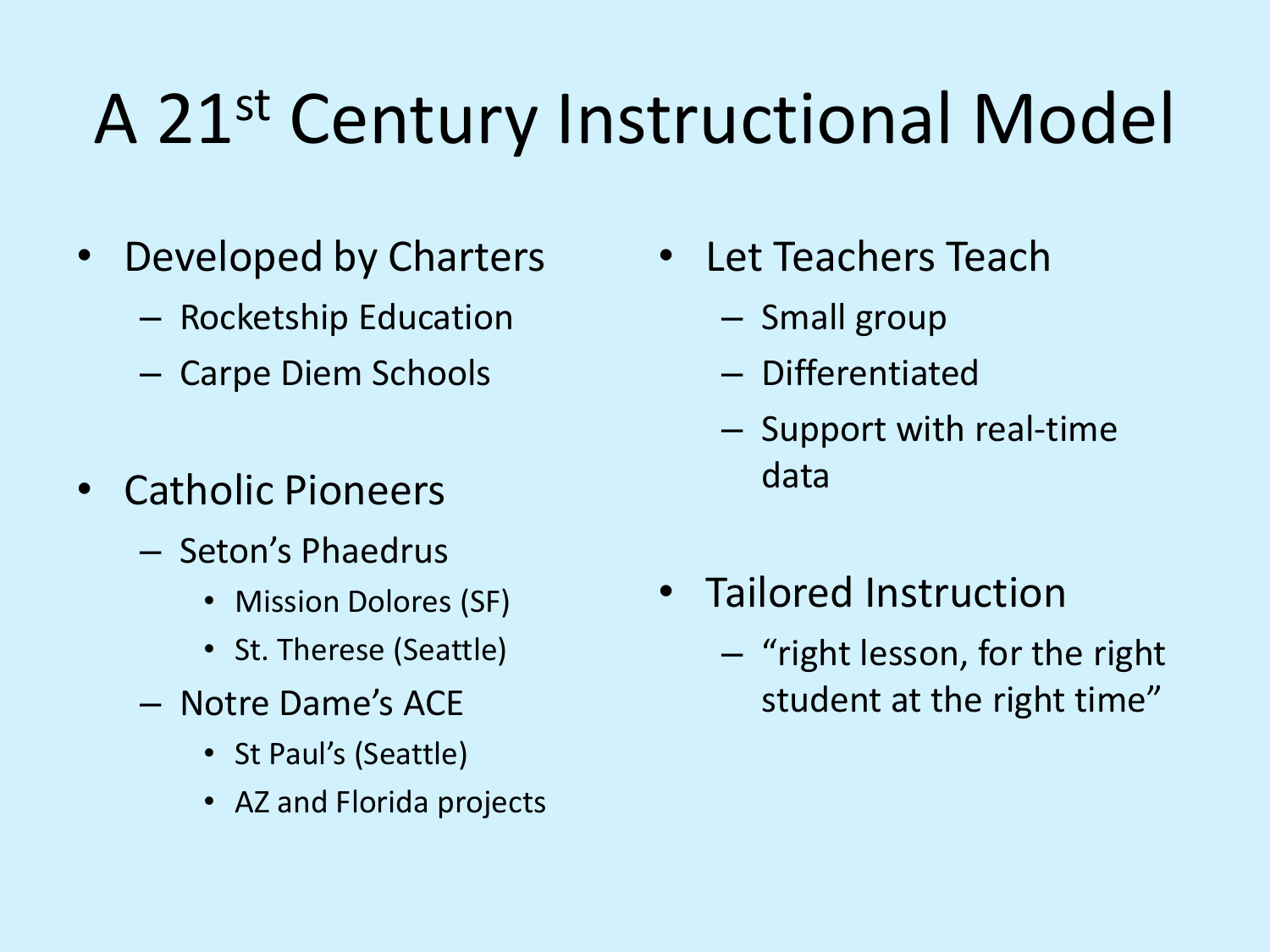## A 21st Century Instructional Model

- Developed by Charters
	- Rocketship Education
	- Carpe Diem Schools
- Catholic Pioneers
	- Seton's Phaedrus
		- Mission Dolores (SF)
		- St. Therese (Seattle)
	- Notre Dame's ACE
		- St Paul's (Seattle)
		- AZ and Florida projects
- Let Teachers Teach
	- Small group
	- Differentiated
	- Support with real-time data
- Tailored Instruction
	- "right lesson, for the right student at the right time"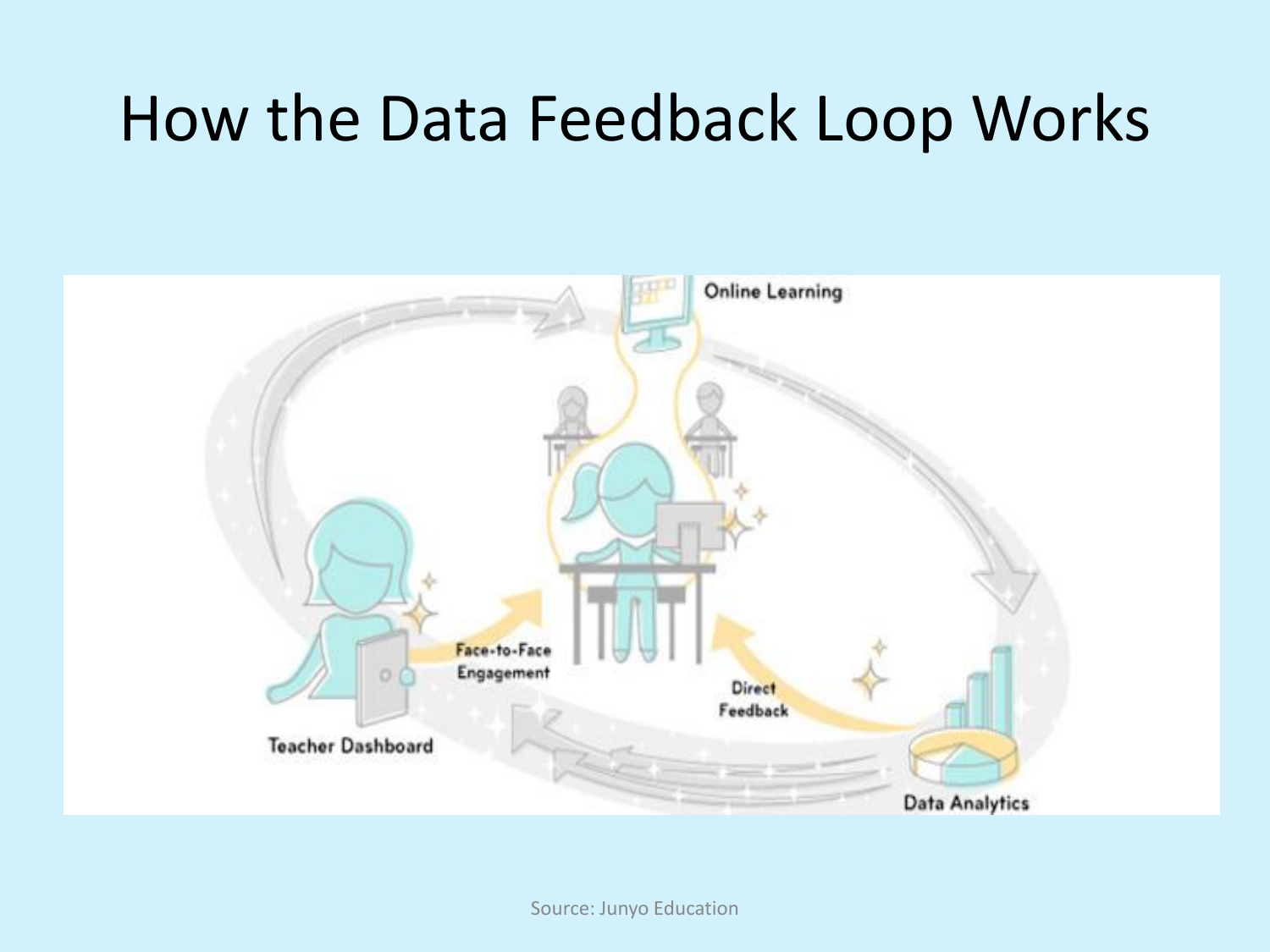### How the Data Feedback Loop Works



Source: Junyo Education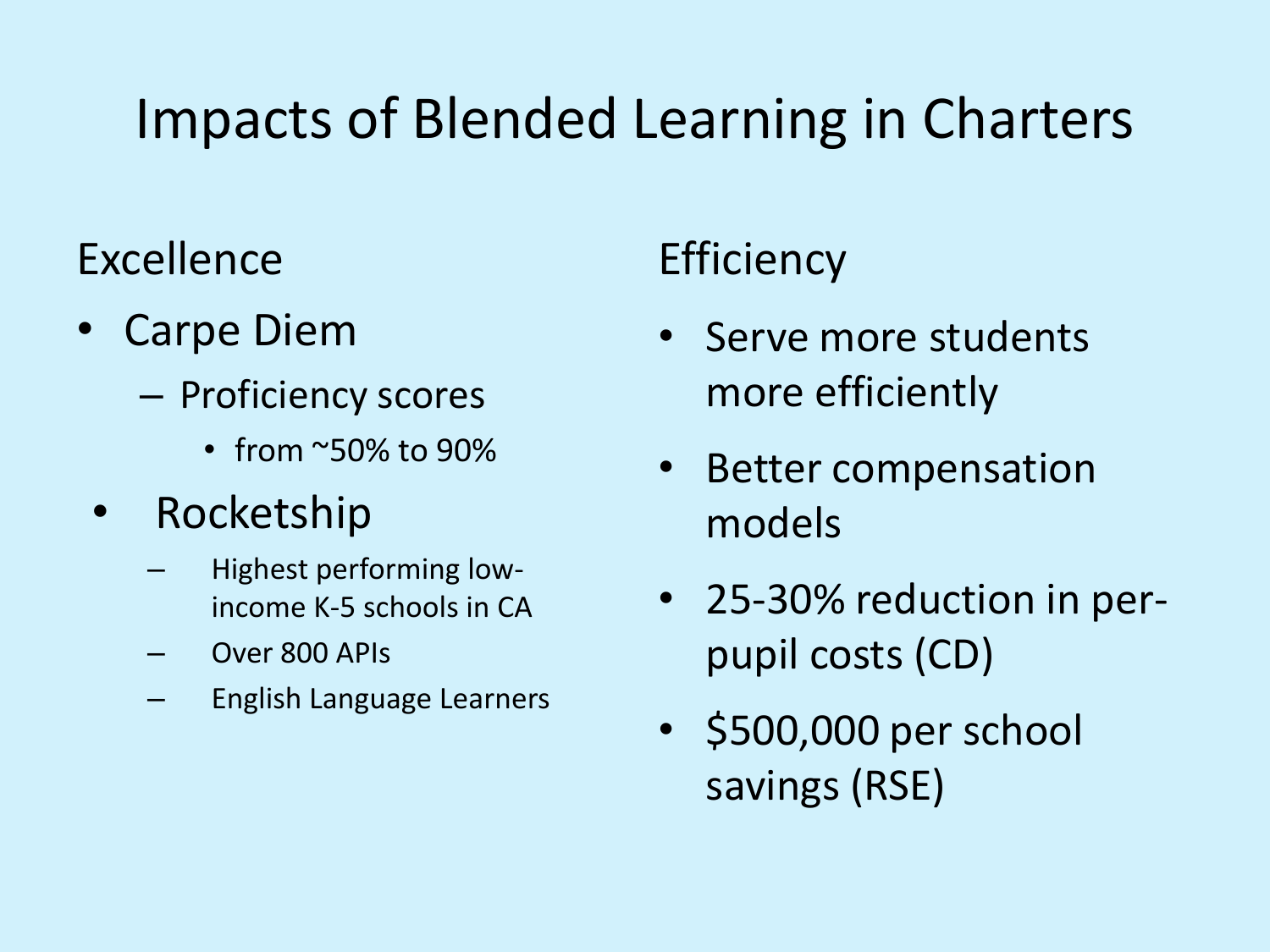### Impacts of Blended Learning in Charters

### Excellence

- Carpe Diem
	- Proficiency scores
		- from ~50% to 90%
	- Rocketship
		- Highest performing lowincome K-5 schools in CA
		- Over 800 APIs
		- English Language Learners

### **Efficiency**

- Serve more students more efficiently
- Better compensation models
- 25-30% reduction in perpupil costs (CD)
- \$500,000 per school savings (RSE)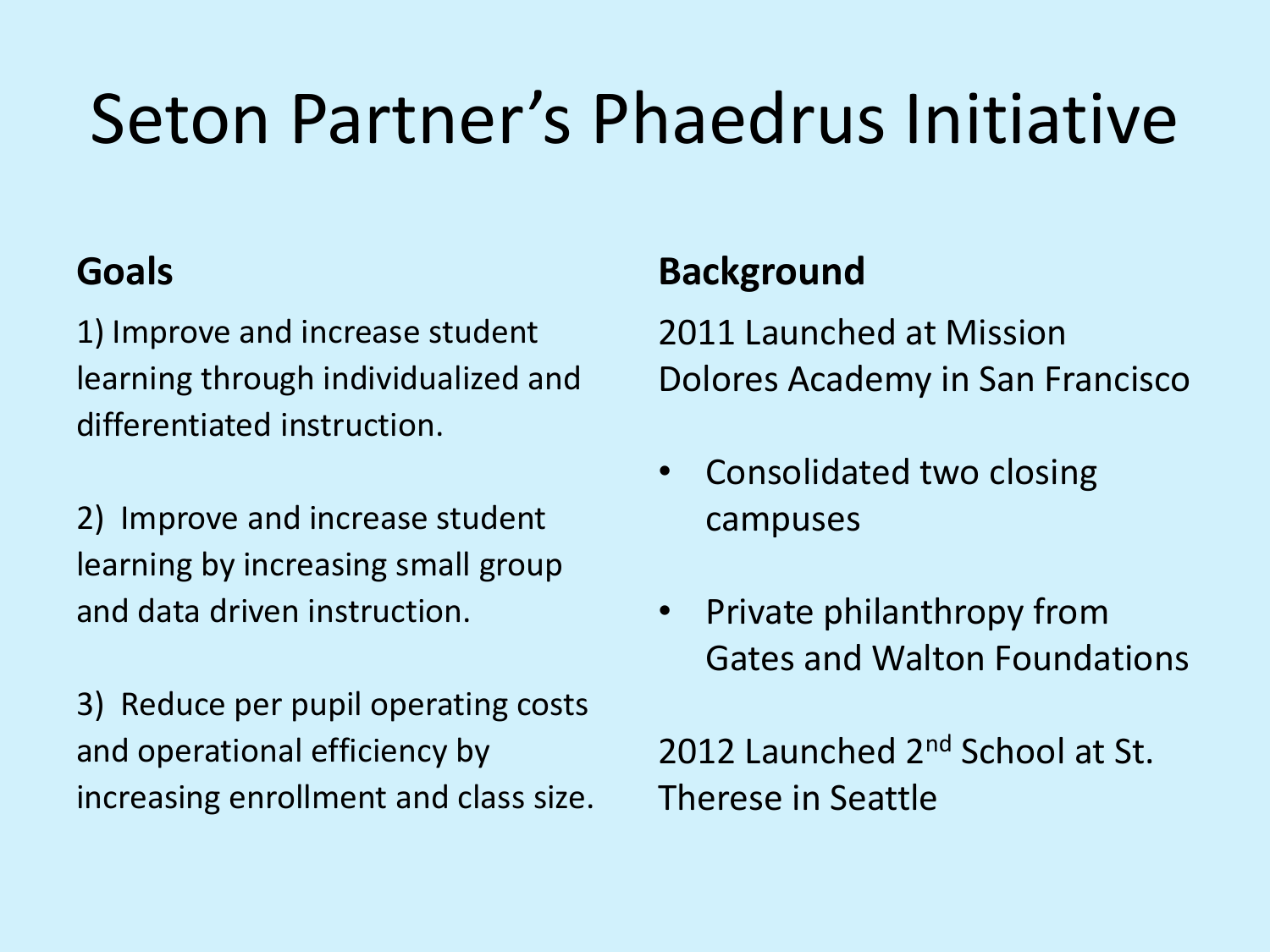## Seton Partner's Phaedrus Initiative

### **Goals**

1) Improve and increase student learning through individualized and differentiated instruction.

2) Improve and increase student learning by increasing small group and data driven instruction.

3) Reduce per pupil operating costs and operational efficiency by increasing enrollment and class size.

### **Background**

2011 Launched at Mission Dolores Academy in San Francisco

- Consolidated two closing campuses
- Private philanthropy from Gates and Walton Foundations

2012 Launched 2<sup>nd</sup> School at St. Therese in Seattle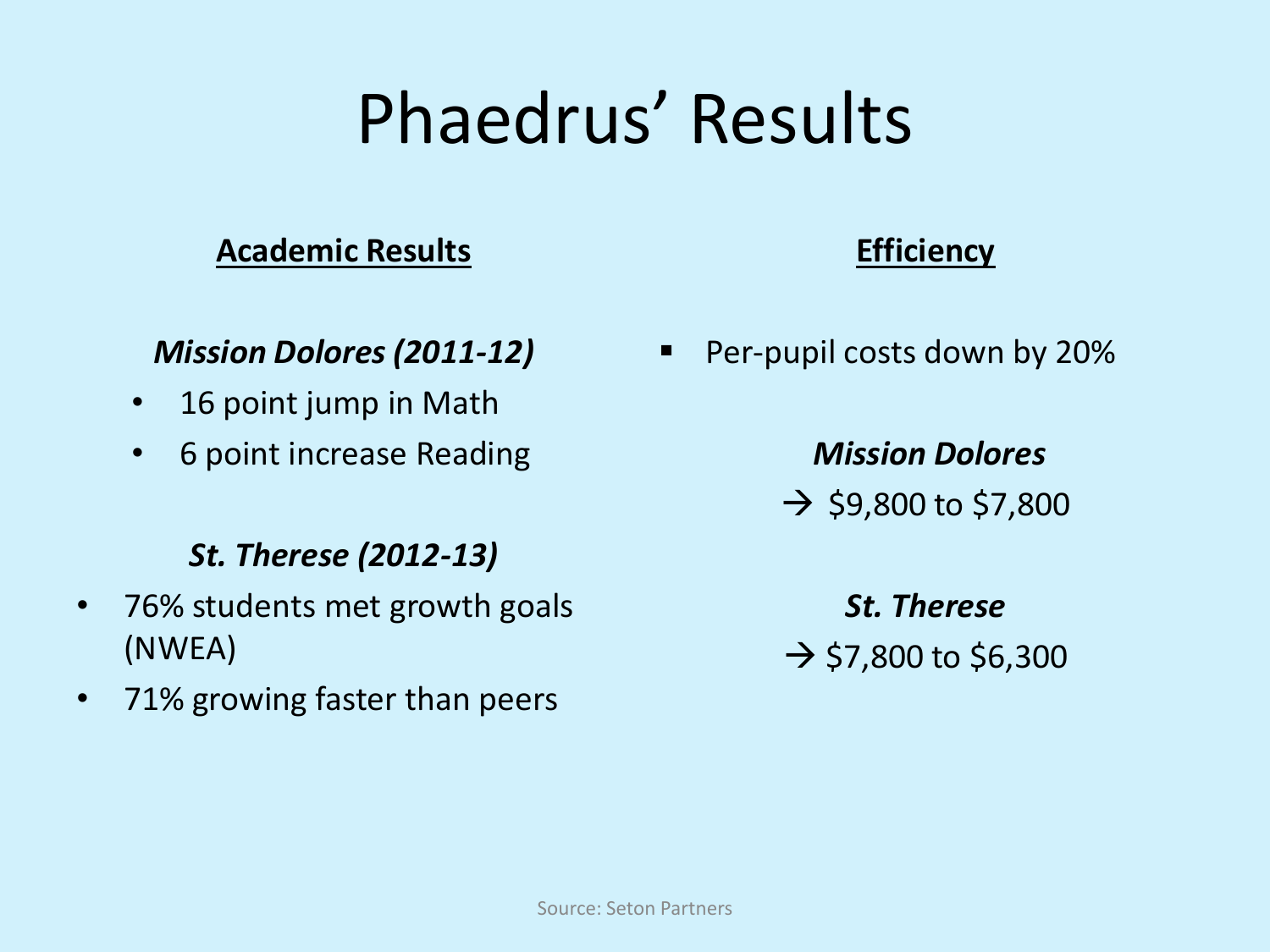## Phaedrus' Results

#### **Academic Results**

#### *Mission Dolores (2011-12)*

- 16 point jump in Math
- 6 point increase Reading

#### *St. Therese (2012-13)*

- 76% students met growth goals (NWEA)
- 71% growing faster than peers

#### **Efficiency**

**Per-pupil costs down by 20%** 

*Mission Dolores*  $\rightarrow$  \$9,800 to \$7,800

*St. Therese*  $\rightarrow$  \$7,800 to \$6,300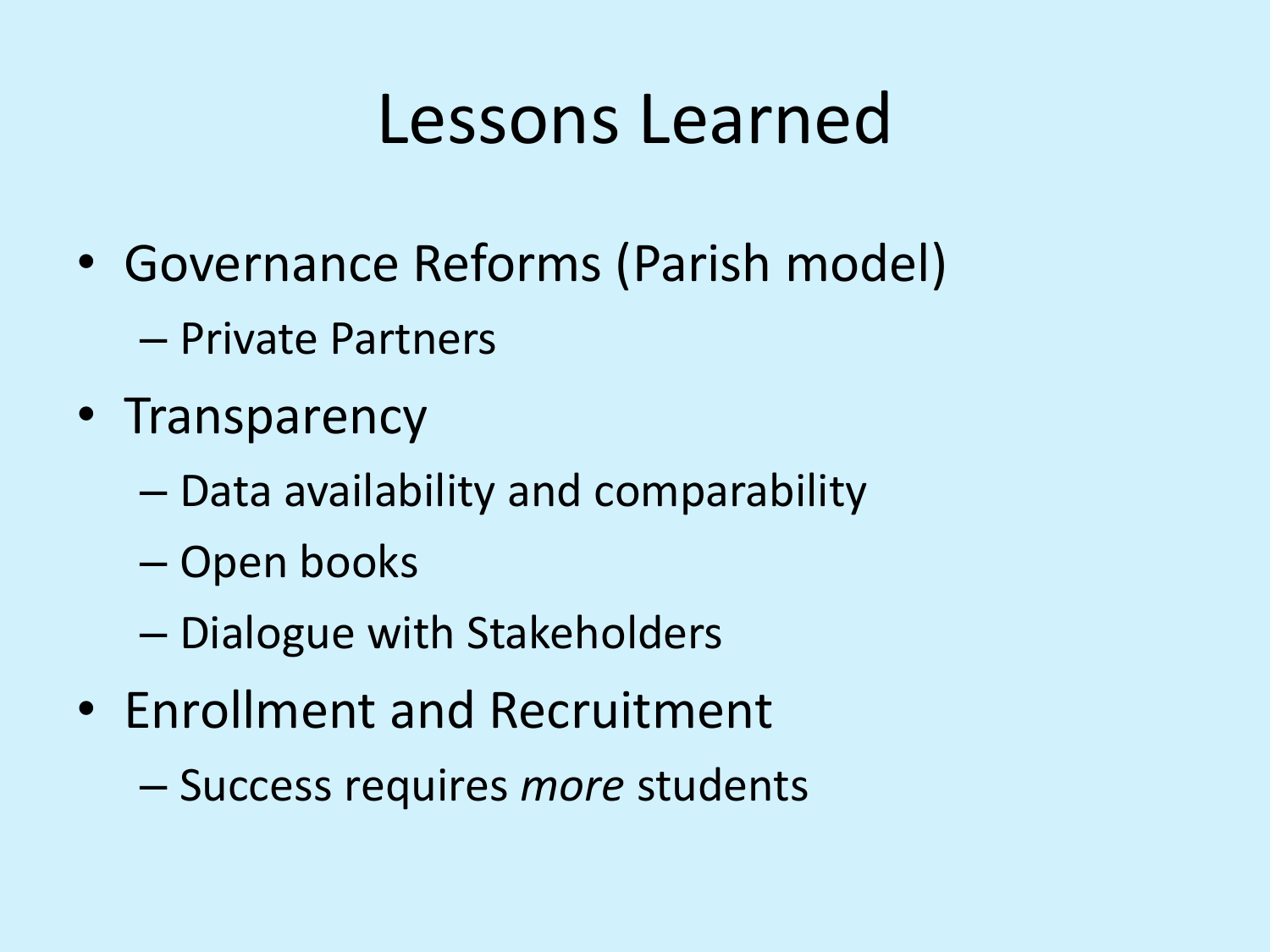### Lessons Learned

- Governance Reforms (Parish model) – Private Partners
	-
- Transparency
	- Data availability and comparability
	- Open books
	- Dialogue with Stakeholders
- Enrollment and Recruitment
	- Success requires *more* students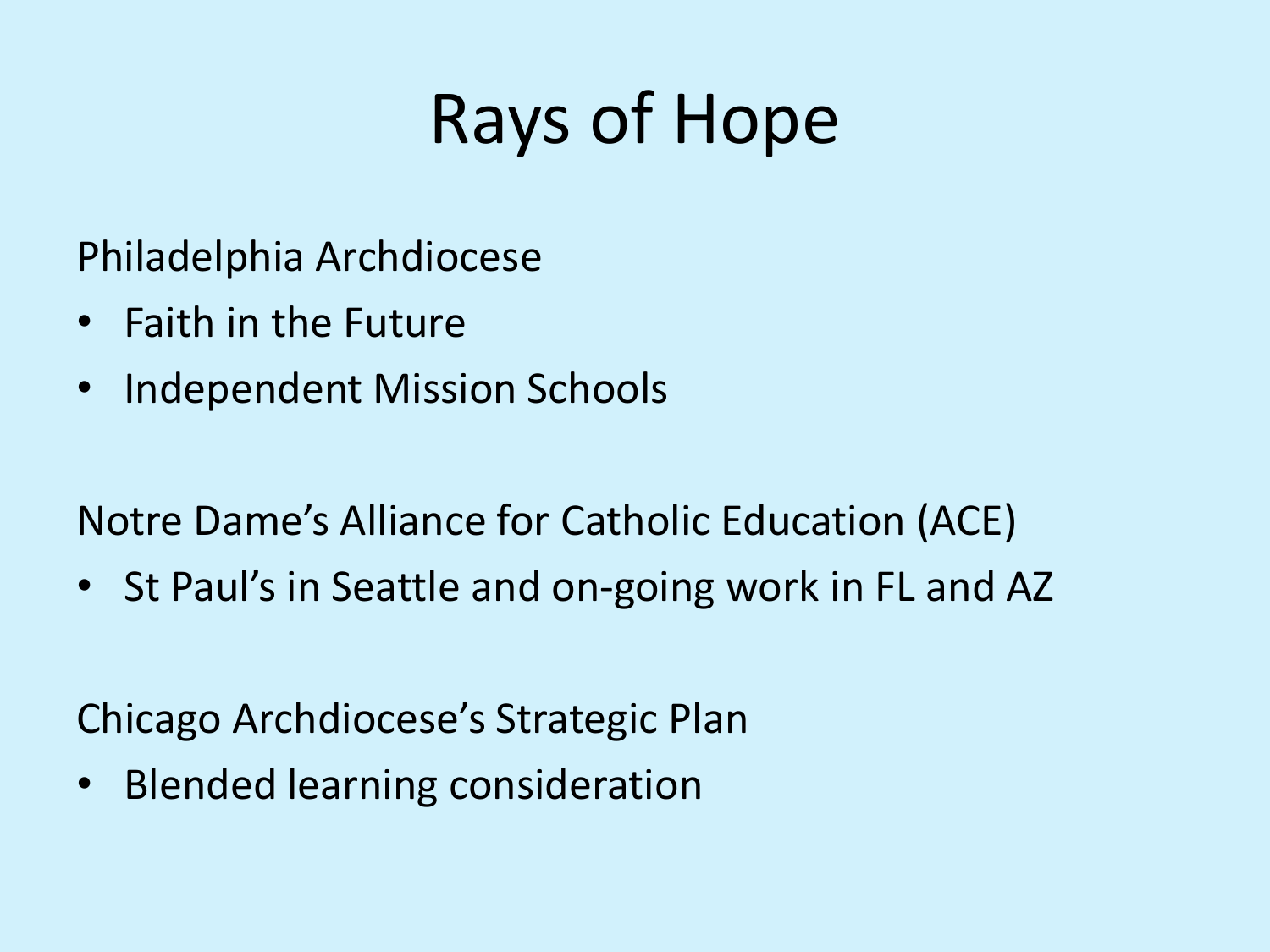## Rays of Hope

Philadelphia Archdiocese

- Faith in the Future
- Independent Mission Schools

Notre Dame's Alliance for Catholic Education (ACE)

• St Paul's in Seattle and on-going work in FL and AZ

Chicago Archdiocese's Strategic Plan

• Blended learning consideration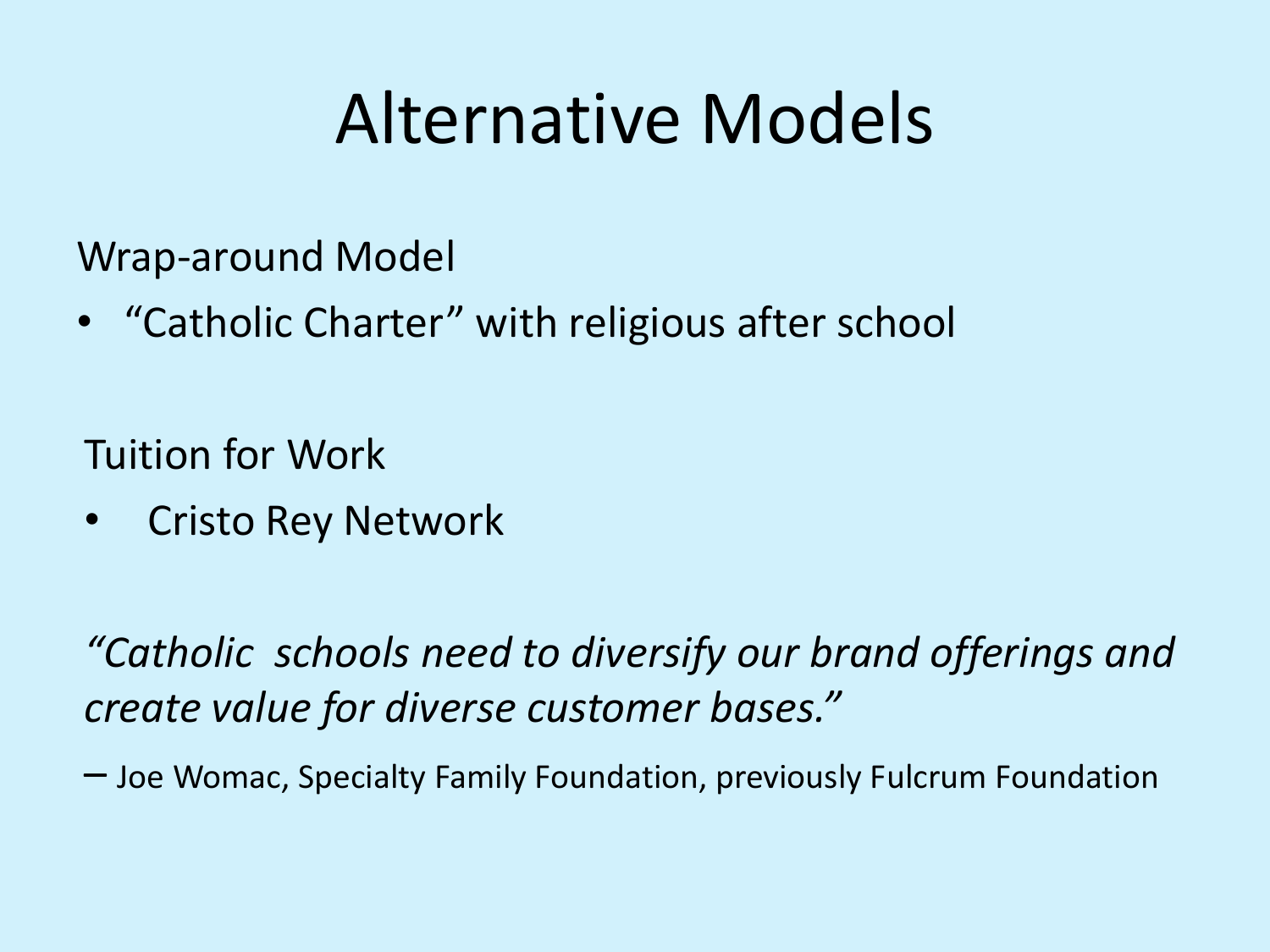### Alternative Models

Wrap-around Model

• "Catholic Charter" with religious after school

Tuition for Work

• Cristo Rey Network

*"Catholic schools need to diversify our brand offerings and create value for diverse customer bases."* 

– Joe Womac, Specialty Family Foundation, previously Fulcrum Foundation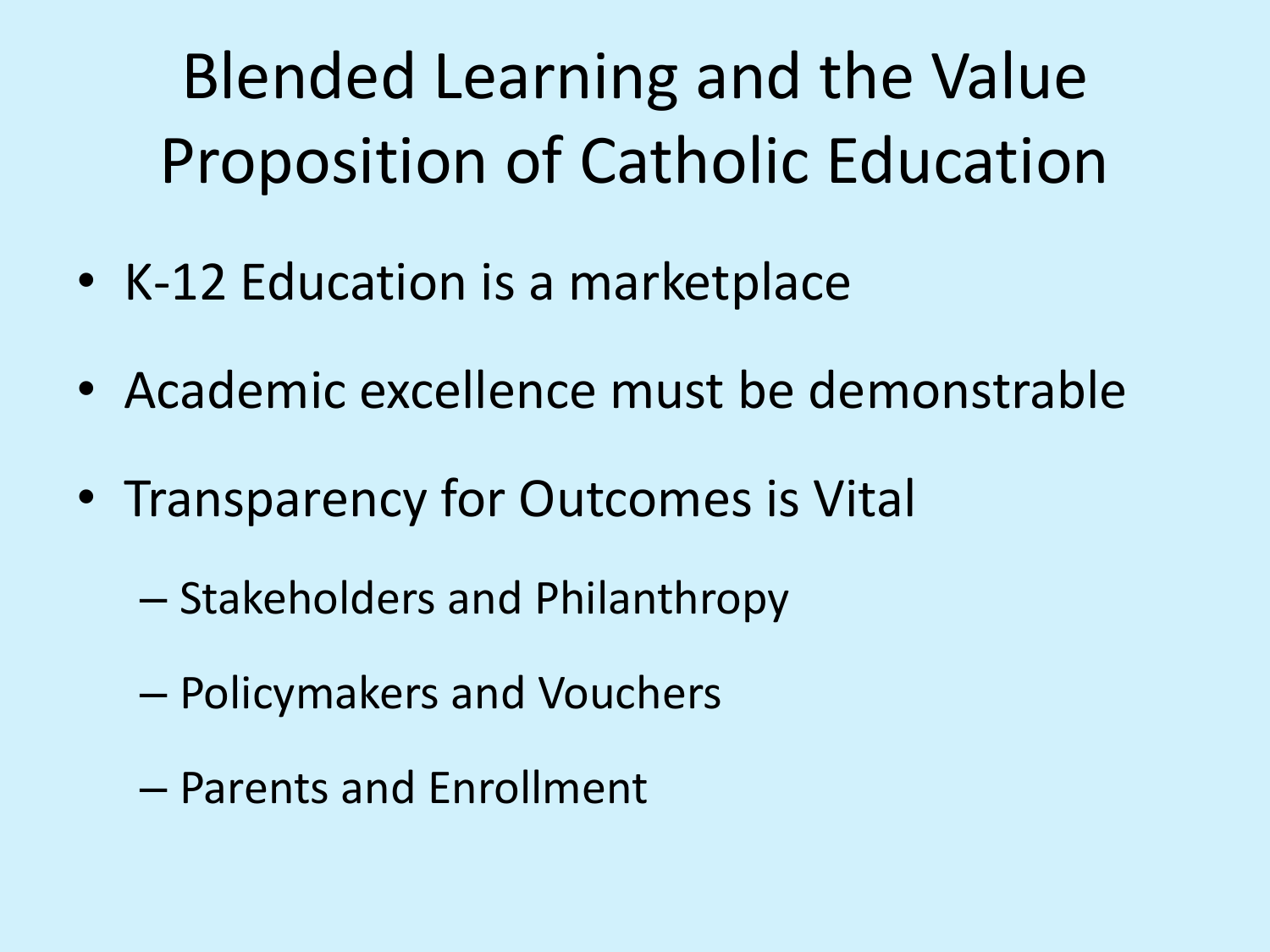Blended Learning and the Value Proposition of Catholic Education

- K-12 Education is a marketplace
- Academic excellence must be demonstrable
- Transparency for Outcomes is Vital
	- Stakeholders and Philanthropy
	- Policymakers and Vouchers
	- Parents and Enrollment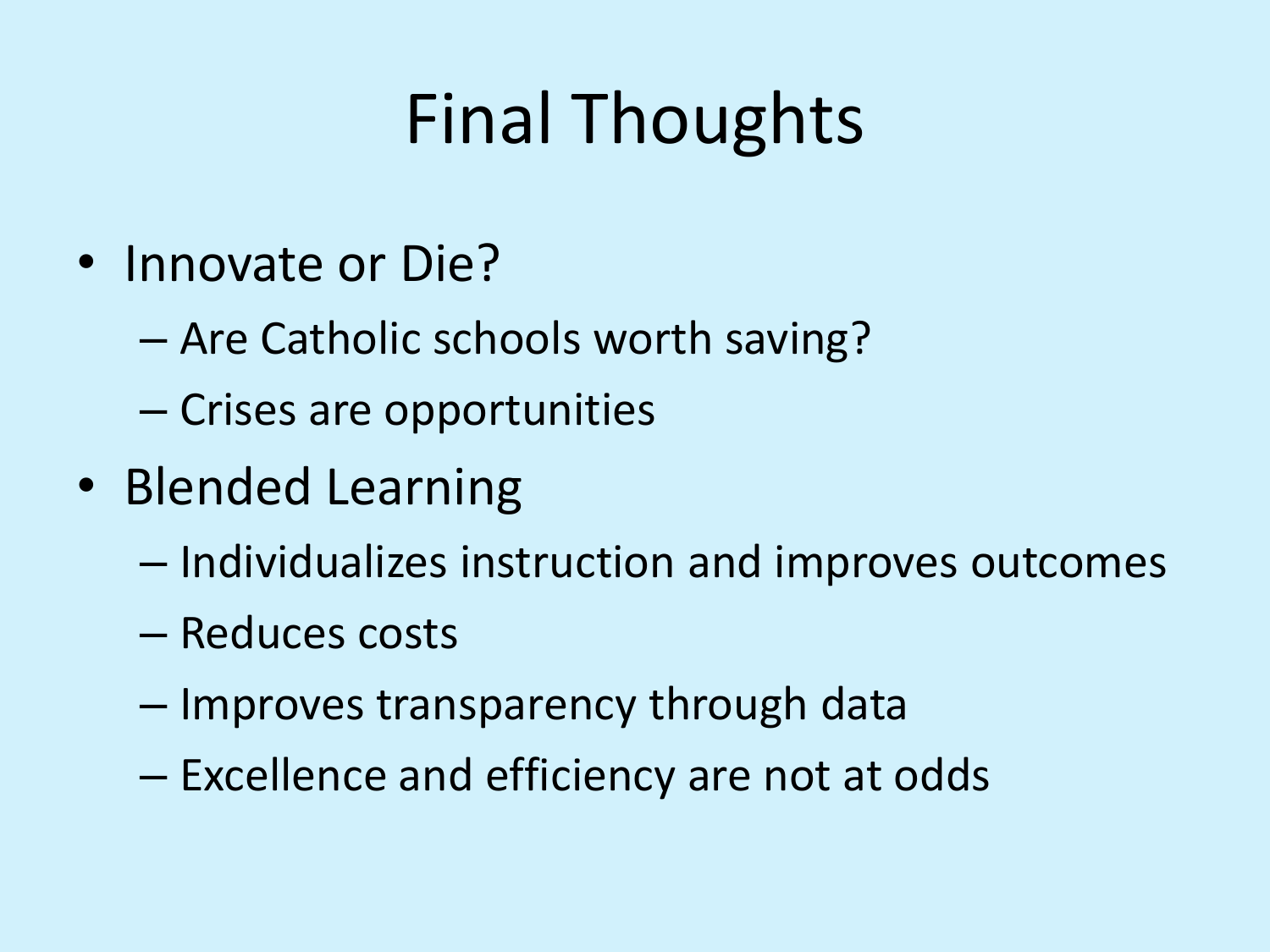## Final Thoughts

- Innovate or Die?
	- Are Catholic schools worth saving?
	- Crises are opportunities
- Blended Learning
	- Individualizes instruction and improves outcomes
	- Reduces costs
	- Improves transparency through data
	- Excellence and efficiency are not at odds